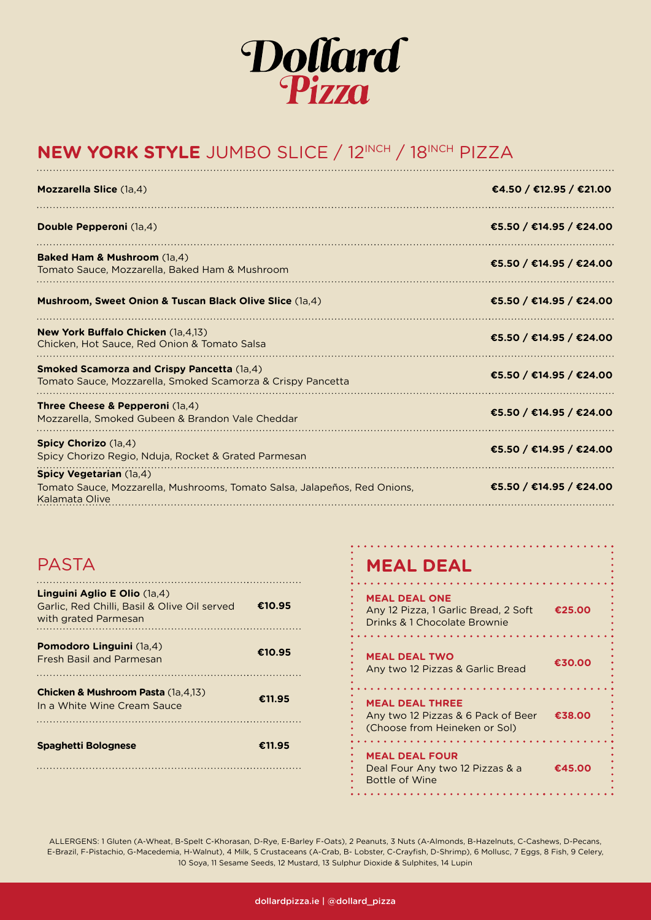

## **NEW YORK STYLE** JUMBO SLICE / 12INCH / 18INCH PIZZA

| Mozzarella Slice (1a,4)                                                                                                | €4.50 / €12.95 / €21.00 |
|------------------------------------------------------------------------------------------------------------------------|-------------------------|
| Double Pepperoni (1a,4)                                                                                                | €5.50 / €14.95 / €24.00 |
| <b>Baked Ham &amp; Mushroom</b> (1a,4)<br>Tomato Sauce, Mozzarella, Baked Ham & Mushroom                               | €5.50 / €14.95 / €24.00 |
| <b>Mushroom, Sweet Onion &amp; Tuscan Black Olive Slice (1a,4)</b>                                                     | €5.50 / €14.95 / €24.00 |
| <b>New York Buffalo Chicken (1a.4.13)</b><br>Chicken, Hot Sauce, Red Onion & Tomato Salsa                              | €5.50 / €14.95 / €24.00 |
| <b>Smoked Scamorza and Crispy Pancetta (1a,4)</b><br>Tomato Sauce, Mozzarella, Smoked Scamorza & Crispy Pancetta       | €5.50 / €14.95 / €24.00 |
| <b>Three Cheese &amp; Pepperoni</b> (1a,4)<br>Mozzarella, Smoked Gubeen & Brandon Vale Cheddar                         | €5.50 / €14.95 / €24.00 |
| <b>Spicy Chorizo</b> (1a,4)<br>Spicy Chorizo Regio, Nduja, Rocket & Grated Parmesan                                    | €5.50 / €14.95 / €24.00 |
| Spicy Vegetarian (1a,4)<br>Tomato Sauce, Mozzarella, Mushrooms, Tomato Salsa, Jalapeños, Red Onions,<br>Kalamata Olive | €5.50 / €14.95 / €24.00 |

## PASTA

| Linguini Aglio E Olio (1a.4)<br>Garlic, Red Chilli, Basil & Olive Oil served<br>with grated Parmesan | €10.95 |
|------------------------------------------------------------------------------------------------------|--------|
| <b>Pomodoro Linguini</b> (1a,4)<br><b>Fresh Basil and Parmesan</b>                                   | €10.95 |
| <b>Chicken &amp; Mushroom Pasta (1a, 4,13)</b><br>In a White Wine Cream Sauce                        | €11.95 |
| <b>Spaghetti Bolognese</b>                                                                           | €11.95 |

### **MEAL DEAL**

**MEAL DEAL ONE** Any 12 Pizza, 1 Garlic Bread, 2 Soft **€25.00** Drinks & 1 Chocolate Brownie **MEAL DEAL TWO** Any two 12 Pizzas & Garlic Bread **€30.00 MEAL DEAL THREE** Any two 12 Pizzas & 6 Pack of Beer **€38.00** (Choose from Heineken or Sol) **MEAL DEAL FOUR** Deal Four Any two 12 Pizzas & a **€45.00** Bottle of Wine 

ALLERGENS: 1 Gluten (A-Wheat, B-Spelt C-Khorasan, D-Rye, E-Barley F-Oats), 2 Peanuts, 3 Nuts (A-Almonds, B-Hazelnuts, C-Cashews, D-Pecans, E-Brazil, F-Pistachio, G-Macedemia, H-Walnut), 4 Milk, 5 Crustaceans (A-Crab, B- Lobster, C-Crayfish, D-Shrimp), 6 Mollusc, 7 Eggs, 8 Fish, 9 Celery, 10 Soya, 11 Sesame Seeds, 12 Mustard, 13 Sulphur Dioxide & Sulphites, 14 Lupin